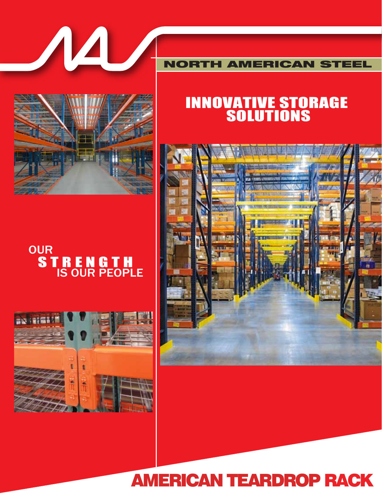

NORTH AMERICAN STEEL

# INNOVATIVE STORAGE **SOLUTIONS**





# S T R E N G T H IS OUR PEOPLE **OUR**



# AMERICAN TEARDROP RACK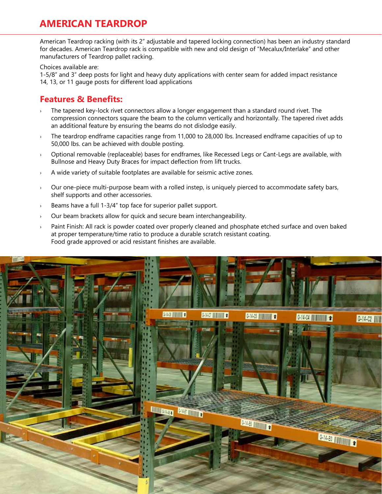# **AMERICAN TEARDROP**

American Teardrop racking (with its 2" adjustable and tapered locking connection) has been an industry standard for decades. American Teardrop rack is compatible with new and old design of "Mecalux/Interlake" and other manufacturers of Teardrop pallet racking.

Choices available are:

1-5/8" and 3" deep posts for light and heavy duty applications with center seam for added impact resistance 14, 13, or 11 gauge posts for different load applications

### **Features & Benefits:**

- The tapered key-lock rivet connectors allow a longer engagement than a standard round rivet. The compression connectors square the beam to the column vertically and horizontally. The tapered rivet adds an additional feature by ensuring the beams do not dislodge easily.
- › The teardrop endframe capacities range from 11,000 to 28,000 lbs. Increased endframe capacities of up to 50,000 lbs. can be achieved with double posting.
- › Optional removable (replaceable) bases for endframes, like Recessed Legs or Cant-Legs are available, with Bullnose and Heavy Duty Braces for impact deflection from lift trucks.
- A wide variety of suitable footplates are available for seismic active zones.
- $\rightarrow$  Our one-piece multi-purpose beam with a rolled instep, is uniquely pierced to accommodate safety bars, shelf supports and other accessories.
- Beams have a full 1-3/4" top face for superior pallet support.
- › Our beam brackets allow for quick and secure beam interchangeability.
- Paint Finish: All rack is powder coated over properly cleaned and phosphate etched surface and oven baked at proper temperature/time ratio to produce a durable scratch resistant coating. Food grade approved or acid resistant finishes are available.

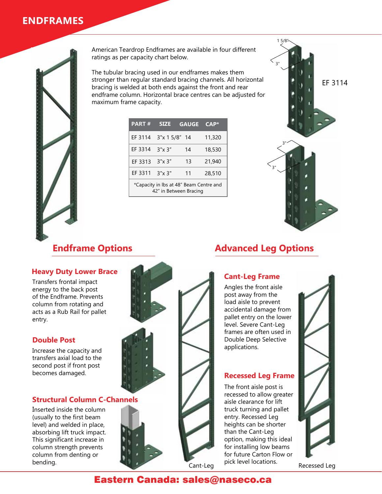# **ENDFRAMES**



American Teardrop Endframes are available in four different ratings as per capacity chart below.

The tubular bracing used in our endframes makes them stronger than regular standard bracing channels. All horizontal bracing is welded at both ends against the front and rear endframe column. Horizontal brace centres can be adjusted for maximum frame capacity.

| <b>PART#</b>                            | <b>SIZE</b>   | <b>GAUGE</b> | $CAP*$ |
|-----------------------------------------|---------------|--------------|--------|
| EF 3114                                 | 3"x 1 5/8" 14 |              | 11,320 |
| EF 3314                                 | 3"x 3"        | 14           | 18,530 |
| EF 3313                                 | 3''x3''       | 13           | 21,940 |
| EF 3311                                 | 3"x 3"        | 11           | 28,510 |
| *Capacity in Ibs at 48" Beam Centre and |               |              |        |

42" in Between Bracing



#### **Heavy Duty Lower Brace**

Transfers frontal impact energy to the back post of the Endframe. Prevents column from rotating and acts as a Rub Rail for pallet entry.

#### **Double Post**

Increase the capacity and transfers axial load to the second post if front post becomes damaged.

#### **Structural Column C-Channels**

Inserted inside the column (usually to the first beam level) and welded in place, absorbing lift truck impact. This significant increase in column strength prevents column from denting or bending.



# **Endframe Options Advanced Leg Options**

# **Cant-Leg Frame**

Angles the front aisle post away from the load aisle to prevent accidental damage from pallet entry on the lower level. Severe Cant-Leg frames are often used in Double Deep Selective applications.

### **Recessed Leg Frame**

The front aisle post is recessed to allow greater aisle clearance for lift truck turning and pallet entry. Recessed Leg heights can be shorter than the Cant-Leg option, making this ideal for installing low beams for future Carton Flow or pick level locations.



Cant-Leg PICK Level locations. Recessed Leg

# Eastern Canada: sales@naseco.ca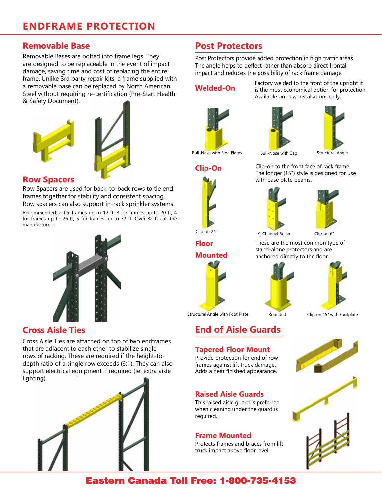### **Removable Base**

Removable Bases are bolted into frame legs. They are designed to be replaceable in the event of impact damage, saving time and cost of replacing the entire frame. Unlike 3rd party repair kits, a frame supplied with a removable base can be replaced by North American Steel without requiring re-certification (Pre-Start Health & Safety Document).





#### **Row Spacers**

Row Spacers are used for back-to-back rows to tie end frames together for stability and consistent spacing. Row spacers can also support in-rack sprinkler systems.

Recommended: 2 for frames up to 12 ft, 3 for frames up to 20 ft, 4 for frames up to 26 ft, 5 for frames up to 32 ft. Over 32 ft call the manufacturer.



### **Cross Aisle Ties**

Cross Aisle Ties are attached on top of two endframes that are adjacent to each other to stabilize single rows of racking. These are required if the height-todepth ratio of a single row exceeds (6:1). They can also support electrical equipment if required (ie. extra aisle lighting).



# **Post Protectors**

Post Protectors provide added protection in high traffic areas. The angle helps to deflect rather than absorb direct frontal impact and reduces the possibility of rack frame damage.

#### **Welded-On**

Factory welded to the front of the upright it is the most economical option for protection. Available on new installations only.







Bull-Nose with Side Plates Bull-Nose with Cap Structural Angle

Clip-on to the front face of rack frame. The longer (15") style is designed for use with base plate beams.



**Clip-On**

**Floor** 

**Mounted**



C-Channel Bolted Clip-on 6" Clip-on 24"

These are the most common type of

stand-alone protectors and are anchored directly to the floor.



**End of Aisle Guards**

**Tapered Floor Mount**

Provide protection for end of row frames against lift truck damage. Adds a neat finished appearance.

This raised aisle guard is preferred when cleaning under the guard is

Protects frames and braces from lift truck impact above floor level.

**Raised Aisle Guards**

**Frame Mounted**



Structural Angle with Foot Plate Rounded Clip-on 15" with Footplate

# Eastern Canada Toll Free: 1-800-735-4153

required.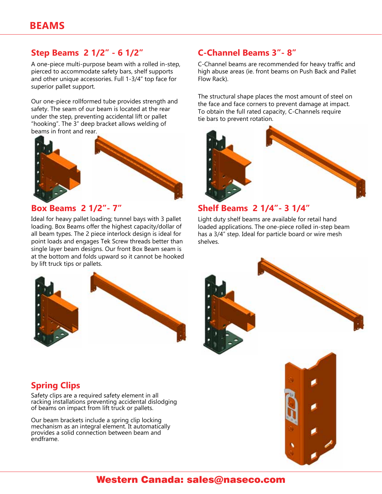### **Step Beams 2 1/2" - 6 1/2" C-Channel Beams 3"- 8"**

A one-piece multi-purpose beam with a rolled in-step, pierced to accommodate safety bars, shelf supports and other unique accessories. Full 1-3/4" top face for superior pallet support.

Our one-piece rollformed tube provides strength and safety. The seam of our beam is located at the rear under the step, preventing accidental lift or pallet "hooking". The 3" deep bracket allows welding of beams in front and rear.



### **Box Beams 2 1/2"- 7"**

Ideal for heavy pallet loading; tunnel bays with 3 pallet loading. Box Beams offer the highest capacity/dollar of all beam types. The 2 piece interlock design is ideal for point loads and engages Tek Screw threads better than single layer beam designs. Our front Box Beam seam is at the bottom and folds upward so it cannot be hooked by lift truck tips or pallets.



C-Channel beams are recommended for heavy traffic and high abuse areas (ie. front beams on Push Back and Pallet Flow Rack).

The structural shape places the most amount of steel on the face and face corners to prevent damage at impact. To obtain the full rated capacity, C-Channels require tie bars to prevent rotation.



#### **Shelf Beams 2 1/4"- 3 1/4"**

Light duty shelf beams are available for retail hand loaded applications. The one-piece rolled in-step beam has a 3/4" step. Ideal for particle board or wire mesh shelves.



## **Spring Clips**

Safety clips are a required safety element in all racking installations preventing accidental dislodging of beams on impact from lift truck or pallets.

Our beam brackets include a spring clip locking mechanism as an integral element. It automatically provides a solid connection between beam and endframe.



# Western Canada: sales@naseco.com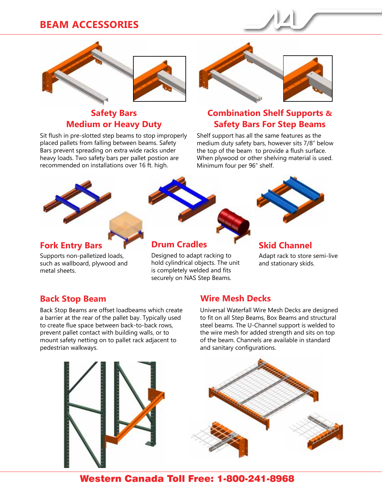# **BEAM ACCESSORIES**



## **Safety Bars Medium or Heavy Duty**

Sit flush in pre-slotted step beams to stop improperly placed pallets from falling between beams. Safety Bars prevent spreading on extra wide racks under heavy loads. Two safety bars per pallet postion are recommended on installations over 16 ft. high.



# **Combination Shelf Supports & Safety Bars For Step Beams**

Shelf support has all the same features as the medium duty safety bars, however sits 7/8" below the top of the beam to provide a flush surface. When plywood or other shelving material is used. Minimum four per 96" shelf.



### **Fork Entry Bars**

Supports non-palletized loads, such as wallboard, plywood and metal sheets.



## **Drum Cradles**

Designed to adapt racking to hold cylindrical objects. The unit is completely welded and fits securely on NAS Step Beams.



#### **Skid Channel**

Adapt rack to store semi-live and stationary skids.

Back Stop Beams are offset loadbeams which create a barrier at the rear of the pallet bay. Typically used to create flue space between back-to-back rows, prevent pallet contact with building walls, or to mount safety netting on to pallet rack adjacent to pedestrian walkways.

## **Back Stop Beam Wire Mesh Decks**

Universal Waterfall Wire Mesh Decks are designed to fit on all Step Beams, Box Beams and structural steel beams. The U-Channel support is welded to the wire mesh for added strength and sits on top of the beam. Channels are available in standard and sanitary configurations.





# Western Canada Toll Free: 1-800-241-8968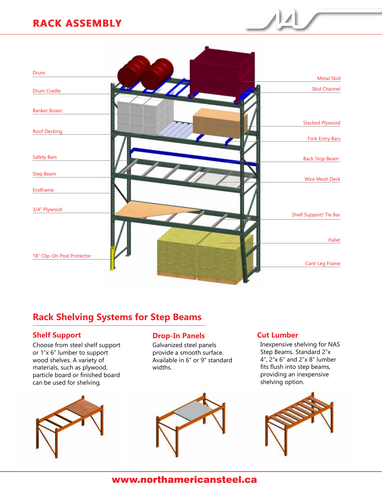# **RACK ASSEMBLY RACK ASSEMBLY**



# **Rack Shelving Systems for Step Beams**

#### **Shelf Support Drop-In Panels** Cut Lumber

Choose from steel shelf support or 1"x 6" lumber to support wood shelves. A variety of materials, such as plywood, particle board or finished board can be used for shelving.



Galvanized steel panels provide a smooth surface. Available in 6" or 9" standard widths.



Inexpensive shelving for NAS Step Beams. Standard 2"x 4", 2"x 6" and 2"x 8" lumber fits flush into step beams, providing an inexpensive shelving option.



# www.northamericansteel.ca